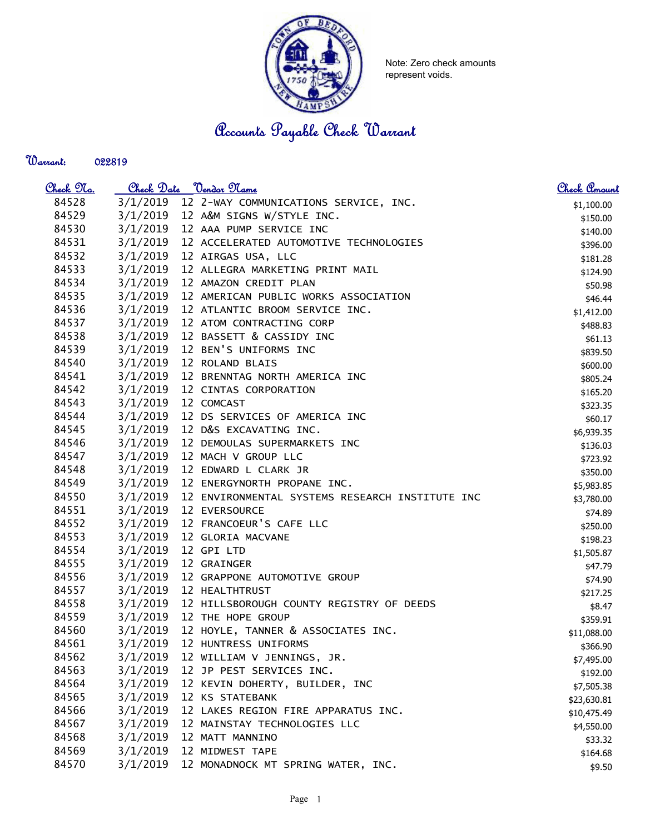

Note: Zero check amounts represent voids.

Accounts Payable Check Warrant

## Warrant:

| <u>Check No.</u> |          | Check Date <u>Vendor Name</u>                   | <u>Check Amount</u> |
|------------------|----------|-------------------------------------------------|---------------------|
| 84528            | 3/1/2019 | 12 2-WAY COMMUNICATIONS SERVICE, INC.           | \$1,100.00          |
| 84529            | 3/1/2019 | 12 A&M SIGNS W/STYLE INC.                       | \$150.00            |
| 84530            | 3/1/2019 | 12 AAA PUMP SERVICE INC                         | \$140.00            |
| 84531            | 3/1/2019 | 12 ACCELERATED AUTOMOTIVE TECHNOLOGIES          | \$396.00            |
| 84532            | 3/1/2019 | 12 AIRGAS USA, LLC                              | \$181.28            |
| 84533            | 3/1/2019 | 12 ALLEGRA MARKETING PRINT MAIL                 | \$124.90            |
| 84534            | 3/1/2019 | 12 AMAZON CREDIT PLAN                           | \$50.98             |
| 84535            | 3/1/2019 | 12 AMERICAN PUBLIC WORKS ASSOCIATION            | \$46.44             |
| 84536            | 3/1/2019 | 12 ATLANTIC BROOM SERVICE INC.                  | \$1,412.00          |
| 84537            | 3/1/2019 | 12 ATOM CONTRACTING CORP                        | \$488.83            |
| 84538            | 3/1/2019 | 12 BASSETT & CASSIDY INC                        | \$61.13             |
| 84539            | 3/1/2019 | 12 BEN'S UNIFORMS INC                           | \$839.50            |
| 84540            | 3/1/2019 | 12 ROLAND BLAIS                                 | \$600.00            |
| 84541            | 3/1/2019 | 12 BRENNTAG NORTH AMERICA INC                   | \$805.24            |
| 84542            | 3/1/2019 | 12 CINTAS CORPORATION                           | \$165.20            |
| 84543            | 3/1/2019 | 12 COMCAST                                      | \$323.35            |
| 84544            | 3/1/2019 | 12 DS SERVICES OF AMERICA INC                   | \$60.17             |
| 84545            | 3/1/2019 | 12 D&S EXCAVATING INC.                          | \$6,939.35          |
| 84546            | 3/1/2019 | 12 DEMOULAS SUPERMARKETS INC                    | \$136.03            |
| 84547            | 3/1/2019 | 12 MACH V GROUP LLC                             | \$723.92            |
| 84548            | 3/1/2019 | 12 EDWARD L CLARK JR                            | \$350.00            |
| 84549            | 3/1/2019 | 12 ENERGYNORTH PROPANE INC.                     | \$5,983.85          |
| 84550            | 3/1/2019 | 12 ENVIRONMENTAL SYSTEMS RESEARCH INSTITUTE INC | \$3,780.00          |
| 84551            | 3/1/2019 | 12 EVERSOURCE                                   | \$74.89             |
| 84552            | 3/1/2019 | 12 FRANCOEUR'S CAFE LLC                         | \$250.00            |
| 84553            | 3/1/2019 | 12 GLORIA MACVANE                               | \$198.23            |
| 84554            | 3/1/2019 | 12 GPI LTD                                      | \$1,505.87          |
| 84555            | 3/1/2019 | 12 GRAINGER                                     | \$47.79             |
| 84556            | 3/1/2019 | 12 GRAPPONE AUTOMOTIVE GROUP                    | \$74.90             |
| 84557            | 3/1/2019 | 12 HEALTHTRUST                                  | \$217.25            |
| 84558            | 3/1/2019 | 12 HILLSBOROUGH COUNTY REGISTRY OF DEEDS        | \$8.47              |
| 84559            | 3/1/2019 | 12 THE HOPE GROUP                               | \$359.91            |
| 84560            | 3/1/2019 | 12 HOYLE, TANNER & ASSOCIATES INC.              | \$11,088.00         |
| 84561            | 3/1/2019 | 12 HUNTRESS UNIFORMS                            | \$366.90            |
| 84562            | 3/1/2019 | 12 WILLIAM V JENNINGS, JR.                      | \$7,495.00          |
| 84563            | 3/1/2019 | 12 JP PEST SERVICES INC.                        | \$192.00            |
| 84564            | 3/1/2019 | 12 KEVIN DOHERTY, BUILDER, INC                  | \$7,505.38          |
| 84565            | 3/1/2019 | 12 KS STATEBANK                                 | \$23,630.81         |
| 84566            | 3/1/2019 | 12 LAKES REGION FIRE APPARATUS INC.             | \$10,475.49         |
| 84567            | 3/1/2019 | 12 MAINSTAY TECHNOLOGIES LLC                    | \$4,550.00          |
| 84568            | 3/1/2019 | 12 MATT MANNINO                                 | \$33.32             |
| 84569            | 3/1/2019 | 12 MIDWEST TAPE                                 | \$164.68            |
| 84570            | 3/1/2019 | 12 MONADNOCK MT SPRING WATER, INC.              | \$9.50              |
|                  |          |                                                 |                     |